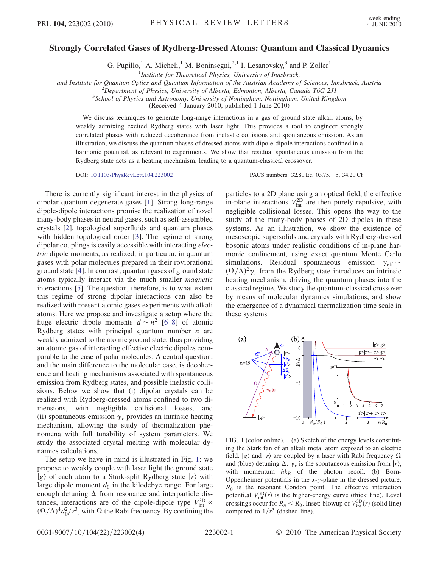## Strongly Correlated Gases of Rydberg-Dressed Atoms: Quantum and Classical Dynamics

G. Pupillo,<sup>1</sup> A. Micheli,<sup>1</sup> M. Boninsegni,<sup>2,1</sup> I. Lesanovsky,<sup>3</sup> and P. Zoller<sup>1</sup>

<sup>1</sup> Institute for Theoretical Physics, University of Innsbruck,

and Institute for Quantum Optics and Quantum Information of the Austrian Academy of Sciences, Innsbruck, Austria <sup>2</sup>

<sup>2</sup>Department of Physics, University of Alberta, Edmonton, Alberta, Canada T6G 2J1

 $3$ School of Physics and Astronomy, University of Nottingham, Nottingham, United Kingdom

(Received 4 January 2010; published 1 June 2010)

We discuss techniques to generate long-range interactions in a gas of ground state alkali atoms, by weakly admixing excited Rydberg states with laser light. This provides a tool to engineer strongly correlated phases with reduced decoherence from inelastic collisions and spontaneous emission. As an illustration, we discuss the quantum phases of dressed atoms with dipole-dipole interactions confined in a harmonic potential, as relevant to experiments. We show that residual spontaneous emission from the Rydberg state acts as a heating mechanism, leading to a quantum-classical crossover.

DOI: [10.1103/PhysRevLett.104.223002](http://dx.doi.org/10.1103/PhysRevLett.104.223002) PACS numbers: 32.80.Ee, 03.75. -b, 34.20.Cf

There is currently significant interest in the physics of dipolar quantum degenerate gases [[1](#page-3-0)]. Strong long-range dipole-dipole interactions promise the realization of novel many-body phases in neutral gases, such as self-assembled crystals [[2\]](#page-3-1), topological superfluids and quantum phases with hidden topological order [[3\]](#page-3-2). The regime of strong dipolar couplings is easily accessible with interacting electric dipole moments, as realized, in particular, in quantum gases with polar molecules prepared in their rovibrational ground state [[4\]](#page-3-3). In contrast, quantum gases of ground state atoms typically interact via the much smaller magnetic interactions [[5\]](#page-3-4). The question, therefore, is to what extent this regime of strong dipolar interactions can also be realized with present atomic gases experiments with alkali atoms. Here we propose and investigate a setup where the huge electric dipole moments  $d \sim n^2$  [\[6](#page-3-5)–[8\]](#page-3-6) of atomic Rydberg states with principal quantum number  $n$  are weakly admixed to the atomic ground state, thus providing an atomic gas of interacting effective electric dipoles comparable to the case of polar molecules. A central question, and the main difference to the molecular case, is decoherence and heating mechanisms associated with spontaneous emission from Rydberg states, and possible inelastic collisions. Below we show that (i) dipolar crystals can be realized with Rydberg-dressed atoms confined to two dimensions, with negligible collisional losses, and (ii) spontaneous emission  $\gamma_r$  provides an intrinsic heating mechanism, allowing the study of thermalization phenomena with full tunability of system parameters. We study the associated crystal melting with molecular dynamics calculations.

The setup we have in mind is illustrated in Fig. [1](#page-0-0): we propose to weakly couple with laser light the ground state  $|g\rangle$  of each atom to a Stark-split Rydberg state  $|r\rangle$  with large dipole moment  $d_0$  in the kilodebye range. For large enough detuning  $\Delta$  from resonance and interparticle distances, interactions are of the dipole-dipole type  $V_{\text{int}}^{3D} \propto$  $(\Omega/\Delta)^4 d_0^2/r^3$ , with  $\Omega$  the Rabi frequency. By confining the particles to a 2D plane using an optical field, the effective in-plane interactions  $V_{int}^{2D}$  are then purely repulsive, with negligible collisional losses. This opens the way to the study of the many-body phases of 2D dipoles in these systems. As an illustration, we show the existence of mesoscopic supersolids and crystals with Rydberg-dressed bosonic atoms under realistic conditions of in-plane harmonic confinement, using exact quantum Monte Carlo simulations. Residual spontaneous emission  $\gamma_{\text{eff}} \sim$  $(\Omega/\Delta)^2 \gamma_r$  from the Rydberg state introduces an intrinsic heating mechanism, driving the quantum phases into the classical regime. We study the quantum-classical crossover by means of molecular dynamics simulations, and show the emergence of a dynamical thermalization time scale in these systems.

<span id="page-0-0"></span>

<span id="page-0-1"></span>FIG. 1 (color online). (a) Sketch of the energy levels constituting the Stark fan of an alkali metal atom exposed to an electric field.  $|g\rangle$  and  $|r\rangle$  are coupled by a laser with Rabi frequency  $\Omega$ and (blue) detuning  $\Delta$ .  $\gamma_r$  is the spontaneous emission from  $\ket{r}$ , with momentum  $\hbar k_R$  of the photon recoil. (b) Born-Oppenheimer potentials in the x-y-plane in the dressed picture.  $R_0$  is the resonant Condon point. The effective interaction potenti.al  $V_{\text{int}}^{3D}(r)$  is the higher-energy curve (thick line). Level crossings occur for  $R_n < R_0$ . Inset: blowup of  $V_{\text{int}}^{3D}(r)$  (solid line) compared to  $1/r^3$  (dashed line).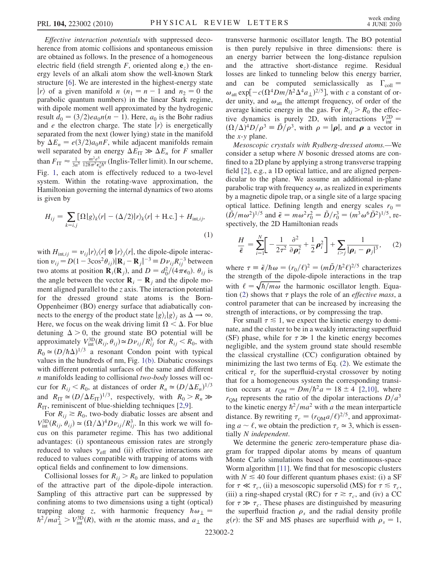Effective interaction potentials with suppressed decoherence from atomic collisions and spontaneous emission are obtained as follows. In the presence of a homogeneous electric field (field strength F, oriented along  $e_z$ ) the energy levels of an alkali atom show the well-known Stark structure [\[6](#page-3-5)]. We are interested in the highest-energy state  $|r\rangle$  of a given manifold n  $(n_1 = n - 1$  and  $n_2 = 0$  the parabolic quantum numbers) in the linear Stark regime, with dipole moment well approximated by the hydrogenic result  $d_0 = (3/2)ea_0n(n - 1)$ . Here,  $a_0$  is the Bohr radius and *e* the electron charge. The state  $|r\rangle$  is energetically separated from the next (lower lying) state in the manifold by  $\Delta E_n = e(3/2)a_0nF$ , while adjacent manifolds remain well separated by an energy  $\Delta E_{IT} \gg \Delta E_n$  for F smaller than  $F_{\text{IT}} \approx \frac{1}{3n^5} \frac{m^2 e^5}{128\pi^3 \epsilon_0^3 \hbar^4}$  (Inglis-Teller limit). In our scheme, Fig. [1,](#page-0-0) each atom is effectively reduced to a two-level system. Within the rotating-wave approximation, the Hamiltonian governing the internal dynamics of two atoms is given by

$$
H_{ij} = \sum_{k=i,j} [\Omega|g\rangle_k \langle r| - (\Delta/2)|r\rangle_k \langle r| + \text{H.c.}] + H_{\text{int},ij},
$$
\n(1)

with  $H_{\text{int},ij} = v_{ij}|r\rangle_i\langle r| \otimes |r\rangle_j\langle r|$ , the dipole-dipole interaction  $v_{ij} = D(1 - 3\cos^2{\theta_{ij}})|\mathbf{R}_i - \mathbf{R}_j|^{-3} \equiv Dv_{ij}R_{ij}^{-3}$  between two atoms at position  $\mathbf{R}_i(\mathbf{R}_j)$ , and  $D = d_0^2/(4\pi\epsilon_0)$ .  $\theta_{ij}$  is the angle between the vector  $\mathbf{R}_i - \mathbf{R}_j$  and the dipole moment aligned parallel to the z axis. The interaction potential for the dressed ground state atoms is the Born-Oppenheimer (BO) energy surface that adiabatically connects to the energy of the product state  $|g\rangle_i|g\rangle_i$  as  $\Delta \rightarrow \infty$ . Here, we focus on the weak driving limit  $\Omega < \Delta$ . For blue detuning  $\Delta > 0$ , the ground state BO potential will be approximately  $V_{\text{int}}^{3D}(R_{ij}, \theta_{ij}) \simeq D \nu_{ij}/R_{ij}^3$  for  $R_{ij} < R_0$ , with  $R_0 \approx (D/\hbar\Delta)^{1/3}$  a resonant Condon point with typical values in the hundreds of nm, Fig. [1\(b\).](#page-0-1) Diabatic crossings with different potential surfaces of the same and different n manifolds leading to collisional two-body losses will occur for  $R_{ij} < R_0$ , at distances of order  $R_n \simeq (D/\Delta E_n)^{1/3}$ and  $R_{\text{IT}} \simeq (D/\Delta E_{\text{IT}})^{1/3}$ , respectively, with  $R_0 > R_n \gg$  $R_{\text{IT}}$ , reminiscent of blue-shielding techniques [\[2](#page-3-1),[9](#page-3-7)].

For  $R_{ij} \ge R_0$ , two-body diabatic losses are absent and  $V_{\text{int}}^{\text{3D}}(R_{ij}, \theta_{ij}) \simeq (\Omega/\Delta)^4 D \nu_{ij}/R_{ij}^3$ . In this work we will focus on this parameter regime. This has two additional advantages: (i) spontaneous emission rates are strongly reduced to values  $\gamma_{\text{eff}}$  and (ii) effective interactions are reduced to values compatible with trapping of atoms with optical fields and confinement to low dimensions.

Collisional losses for  $R_{ij} > R_0$  are linked to population of the attractive part of the dipole-dipole interaction. Sampling of this attractive part can be suppressed by confining atoms to two dimensions using a tight (optical) trapping along z, with harmonic frequency  $\hbar \omega_{\perp}$  =  $\hbar^2 / m a_\perp^2 > V_{\text{int}}^{3D}(R)$ , with *m* the atomic mass, and  $a_\perp$  the transverse harmonic oscillator length. The BO potential is then purely repulsive in three dimensions: there is an energy barrier between the long-distance repulsion and the attractive short-distance regime. Residual losses are linked to tunneling below this energy barrier, and can be computed semiclassically as  $\Gamma_{\text{coll}} =$  $\omega_{\text{att}} \exp[-c(\Omega^4 Dm/\hbar^2 \Delta^4 a_\perp)^{2/5}]$ , with c a constant of order unity, and  $\omega_{\text{att}}$  the attempt frequency, of order of the average kinetic energy in the gas. For  $R_{ij} > R_0$  the effective dynamics is purely 2D, with interactions  $V_{\text{int}}^{\text{2D}} =$  $(\Omega/\Delta)^4 D/\rho^3 = \tilde{D}/\rho^3$ , with  $\rho = |\rho|$ , and  $\rho$  a vector in the  $x-y$  plane.

Mesoscopic crystals with Rydberg-dressed atoms.—We consider a setup where N bosonic dressed atoms are confined to a 2D plane by applying a strong transverse trapping field [[2](#page-3-1)], e.g., a 1D optical lattice, and are aligned perpendicular to the plane. We assume an additional in-plane parabolic trap with frequency  $\omega$ , as realized in experiments by a magnetic dipole trap, or a single site of a large spacing optical lattice. Defining length and energy scales  $r_0$  =  $(\tilde{D}/m\omega^2)^{1/5}$  and  $\tilde{\epsilon} = m\omega^2 r_0^2 = \tilde{D}/r_0^3 = (m^3\omega^6 \tilde{D}^2)^{1/5}$ , respectively, the 2D Hamiltonian reads

<span id="page-1-0"></span>
$$
\frac{H}{\tilde{\epsilon}} = \sum_{i=1}^{N} \left[ -\frac{1}{2\tau^2} \frac{\partial^2}{\partial \rho_i^2} + \frac{1}{2} \rho_i^2 \right] + \sum_{i>j} \frac{1}{|\rho_i - \rho_j|^3}, \quad (2)
$$

where  $\tau \equiv \tilde{\epsilon}/\hbar \omega = (r_0/\ell)^2 = (m\tilde{D}/\hbar^2 \ell)^{2/5}$  characterizes the strength of the dipole-dipole interactions in the trap with  $\ell = \sqrt{\hbar/m\omega}$  the harmonic oscillator length. Equa-tion ([2](#page-1-0)) shows that  $\tau$  plays the role of an *effective mass*, a control parameter that can be increased by increasing the strength of interactions, or by compressing the trap.

For small  $\tau \leq 1$ , we expect the kinetic energy to dominate, and the cluster to be in a weakly interacting superfluid (SF) phase, while for  $\tau \gg 1$  the kinetic energy becomes negligible, and the system ground state should resemble the classical crystalline (CC) configuration obtained by minimizing the last two terms of Eq. ([2](#page-1-0)). We estimate the critical  $\tau_c$  for the superfluid-crystal crossover by noting that for a homogeneous system the corresponding transition occurs at  $r_{QM} = Dm/\hbar^2 a = 18 \pm 4$  [\[2](#page-3-1)[,10\]](#page-3-8), where  $r<sub>OM</sub>$  represents the ratio of the dipolar interactions  $D/a<sup>3</sup>$ to the kinetic energy  $\hbar^2/ma^2$  with a the mean interparticle distance. By rewriting  $\tau_c = (r_{QM}a/\ell)^{2/5}$ , and approximating  $a \sim l$ , we obtain the prediction  $\tau_c \approx 3$ , which is essentially N independent.

We determine the generic zero-temperature phase diagram for trapped dipolar atoms by means of quantum Monte Carlo simulations based on the continuous-space Worm algorithm [\[11\]](#page-3-9). We find that for mesoscopic clusters with  $N \leq 40$  four different quantum phases exist: (i) a SF for  $\tau \ll \tau_c$ , (ii) a mesoscopic supersolid (MS) for  $\tau \lesssim \tau_c$ , (iii) a ring-shaped crystal (RC) for  $\tau \ge \tau_c$ , and (iv) a CC for  $\tau \gg \tau_c$ . These phases are distinguished by measuring the superfluid fraction  $\rho_s$  and the radial density profile  $g(r)$ : the SF and MS phases are superfluid with  $\rho_s = 1$ ,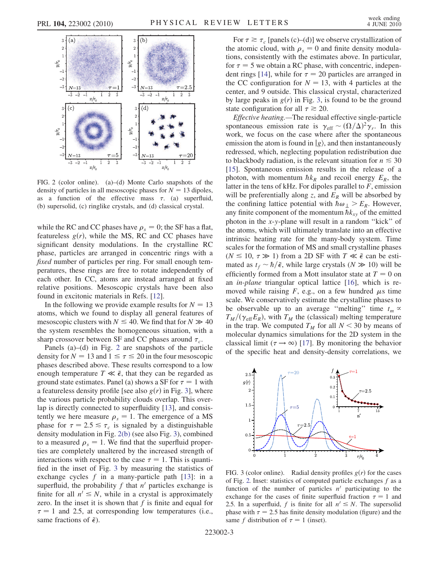<span id="page-2-0"></span>

<span id="page-2-2"></span>FIG. 2 (color online). (a)–(d) Monte Carlo snapshots of the density of particles in all mesoscopic phases for  $N = 13$  dipoles, as a function of the effective mass  $\tau$ . (a) superfluid, (b) supersolid, (c) ringlike crystals, and (d) classical crystal.

while the RC and CC phases have  $\rho_s = 0$ ; the SF has a flat, featureless  $g(r)$ , while the MS, RC and CC phases have significant density modulations. In the crystalline RC phase, particles are arranged in concentric rings with a fixed number of particles per ring. For small enough temperatures, these rings are free to rotate independently of each other. In CC, atoms are instead arranged at fixed relative positions. Mesoscopic crystals have been also found in excitonic materials in Refs. [\[12\]](#page-3-10).

In the following we provide example results for  $N = 13$ atoms, which we found to display all general features of mesoscopic clusters with  $N \le 40$ . We find that for  $N \gg 40$ the system resembles the homogeneous situation, with a sharp crossover between SF and CC phases around  $\tau_c$ .

Panels (a)–(d) in Fig. [2](#page-2-0) are snapshots of the particle density for  $N = 13$  and  $1 \le \tau \le 20$  in the four mesoscopic phases described above. These results correspond to a low enough temperature  $T \ll \tilde{\epsilon}$ , that they can be regarded as ground state estimates. Panel (a) shows a SF for  $\tau = 1$  with a featureless density profile [see also  $g(r)$  in Fig. [3\]](#page-2-1), where the various particle probability clouds overlap. This overlap is directly connected to superfluidity [[13\]](#page-3-11), and consistently we here measure  $\rho_s = 1$ . The emergence of a MS phase for  $\tau = 2.5 \le \tau_c$  is signaled by a distinguishable density modulation in Fig. [2\(b\)](#page-2-2) (see also Fig. [3](#page-2-1)), combined to a measured  $\rho_s = 1$ . We find that the superfluid properties are completely unaltered by the increased strength of interactions with respect to the case  $\tau = 1$ . This is quantified in the inset of Fig. [3](#page-2-1) by measuring the statistics of exchange cycles  $f$  in a many-particle path [[13](#page-3-11)]: in a superfluid, the probability  $f$  that  $n'$  particles exchange is finite for all  $n' \leq N$ , while in a crystal is approximately zero. In the inset it is shown that  $f$  is finite and equal for  $\tau = 1$  and 2.5, at corresponding low temperatures (i.e., same fractions of  $\tilde{\epsilon}$ ).

For  $\tau \ge \tau_c$  [panels (c)–(d)] we observe crystallization of the atomic cloud, with  $\rho_s = 0$  and finite density modulations, consistently with the estimates above. In particular, for  $\tau = 5$  we obtain a RC phase, with concentric, indepen-dent rings [\[14\]](#page-3-12), while for  $\tau = 20$  particles are arranged in the CC configuration for  $N = 13$ , with 4 particles at the center, and 9 outside. This classical crystal, characterized by large peaks in  $g(r)$  in Fig. [3](#page-2-1), is found to be the ground state configuration for all  $\tau \ge 20$ .

Effective heating.—The residual effective single-particle spontaneous emission rate is  $\gamma_{\text{eff}} \sim (\Omega/\Delta)^2 \gamma_r$ . In this work, we focus on the case where after the spontaneous emission the atom is found in  $|g\rangle$ , and then instantaneously redressed, which, neglecting population redistribution due to blackbody radiation, is the relevant situation for  $n \leq 30$ [\[15\]](#page-3-13). Spontaneous emission results in the release of a photon, with momentum  $\hbar k_R$  and recoil energy  $E_R$ , the latter in the tens of kHz. For dipoles parallel to  $F$ , emission will be preferentially along z, and  $E_R$  will be absorbed by the confining lattice potential with  $\hbar \omega_{\perp} > E_R$ . However, any finite component of the momentum  $\hbar k_{xy}$  of the emitted photon in the x-y-plane will result in a random ''kick'' of the atoms, which will ultimately translate into an effective intrinsic heating rate for the many-body system. Time scales for the formation of MS and small crystalline phases ( $N \le 10$ ,  $\tau \gg 1$ ) from a 2D SF with  $T \ll \tilde{\epsilon}$  can be estimated as  $t_f \sim \hbar / \tilde{\epsilon}$ , while large crystals ( $N \gg 10$ ) will be efficiently formed from a Mott insulator state at  $T = 0$  on an in-plane triangular optical lattice [\[16](#page-3-14)], which is removed while raising  $F$ , e.g., on a few hundred  $\mu$ s time scale. We conservatively estimate the crystalline phases to be observable up to an average "melting" time  $t_m \propto$  $T_M/(\gamma_{\text{eff}}E_R)$ , with  $T_M$  the (classical) melting temperature in the trap. We computed  $T_M$  for all  $N < 30$  by means of molecular dynamics simulations for the 2D system in the classical limit ( $\tau \rightarrow \infty$ ) [\[17\]](#page-3-15). By monitoring the behavior of the specific heat and density-density correlations, we

<span id="page-2-1"></span>

FIG. 3 (color online). Radial density profiles  $g(r)$  for the cases of Fig. [2.](#page-2-0) Inset: statistics of computed particle exchanges  $f$  as a function of the number of particles  $n'$  participating to the exchange for the cases of finite superfluid fraction  $\tau = 1$  and 2.5. In a superfluid, f is finite for all  $n' \leq N$ . The supersolid phase with  $\tau = 2.5$  has finite density modulation (figure) and the same f distribution of  $\tau = 1$  (inset).